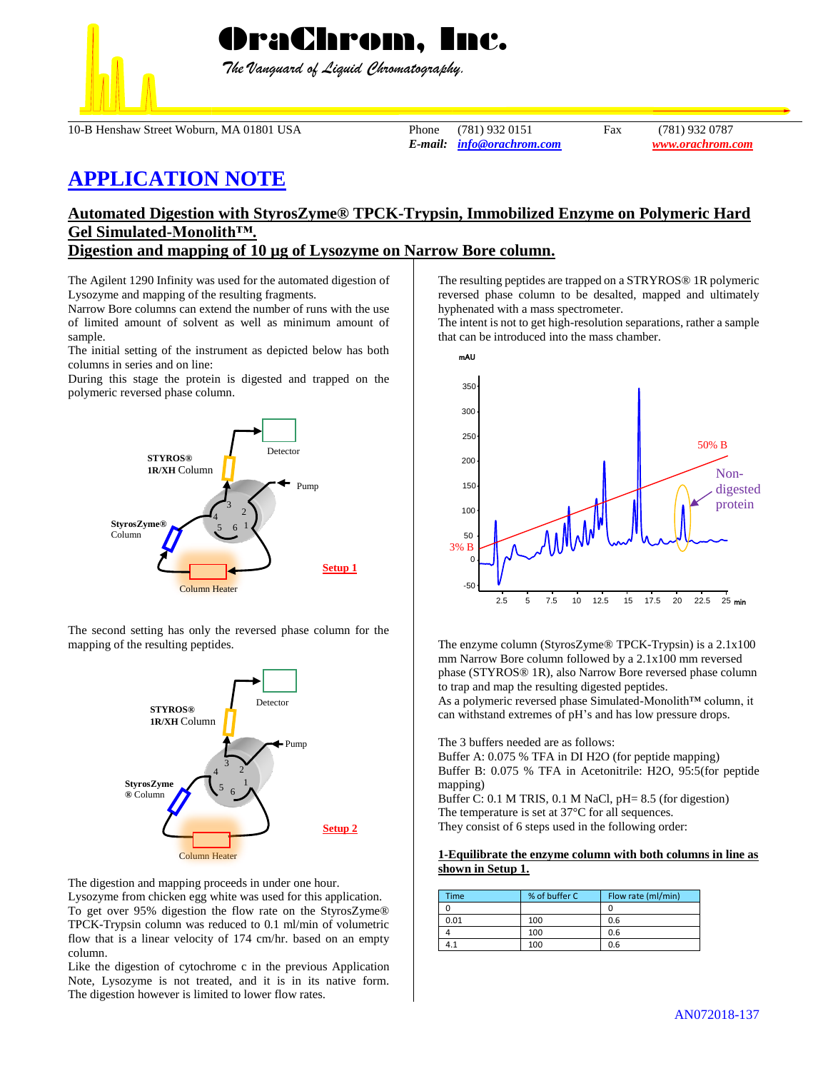

 *The Vanguard of Liquid Chromatography.*

10-B Henshaw Street Woburn, MA 01801 USA Phone (781) 932 0151 Fax (781) 932 0787

*E-mail: [info@orachrom.com](mailto:info@orachrom.com) www.orachrom.com*

# **APPLICATION NOTE**

## **Automated Digestion with StyrosZyme® TPCK-Trypsin, Immobilized Enzyme on Polymeric Hard Gel Simulated-Monolith™.**

### **Digestion and mapping of 10 µg of Lysozyme on Narrow Bore column.**

The Agilent 1290 Infinity was used for the automated digestion of Lysozyme and mapping of the resulting fragments.

Narrow Bore columns can extend the number of runs with the use of limited amount of solvent as well as minimum amount of sample.

The initial setting of the instrument as depicted below has both columns in series and on line:

During this stage the protein is digested and trapped on the polymeric reversed phase column.



The second setting has only the reversed phase column for the mapping of the resulting peptides.



The digestion and mapping proceeds in under one hour.

Lysozyme from chicken egg white was used for this application. To get over 95% digestion the flow rate on the StyrosZyme® TPCK-Trypsin column was reduced to 0.1 ml/min of volumetric flow that is a linear velocity of 174 cm/hr. based on an empty column.

Like the digestion of cytochrome c in the previous Application Note, Lysozyme is not treated, and it is in its native form. The digestion however is limited to lower flow rates.

The resulting peptides are trapped on a STRYROS® 1R polymeric reversed phase column to be desalted, mapped and ultimately hyphenated with a mass spectrometer.

The intent is not to get high-resolution separations, rather a sample that can be introduced into the mass chamber.



The enzyme column (StyrosZyme® TPCK-Trypsin) is a 2.1x100 mm Narrow Bore column followed by a 2.1x100 mm reversed phase (STYROS® 1R), also Narrow Bore reversed phase column to trap and map the resulting digested peptides.

As a polymeric reversed phase Simulated-Monolith™ column, it can withstand extremes of pH's and has low pressure drops.

The 3 buffers needed are as follows:

Buffer A: 0.075 % TFA in DI H2O (for peptide mapping) Buffer B: 0.075 % TFA in Acetonitrile: H2O, 95:5(for peptide mapping) Buffer C: 0.1 M TRIS, 0.1 M NaCl, pH= 8.5 (for digestion)

The temperature is set at 37°C for all sequences. They consist of 6 steps used in the following order:

#### **1-Equilibrate the enzyme column with both columns in line as shown in Setup 1.**

| <b>Time</b> | % of buffer C | Flow rate (ml/min) |
|-------------|---------------|--------------------|
|             |               |                    |
| 0.01        | 100           | 0.6                |
|             | 100           | 0.6                |
| 4.1         | 100           | 0.6                |